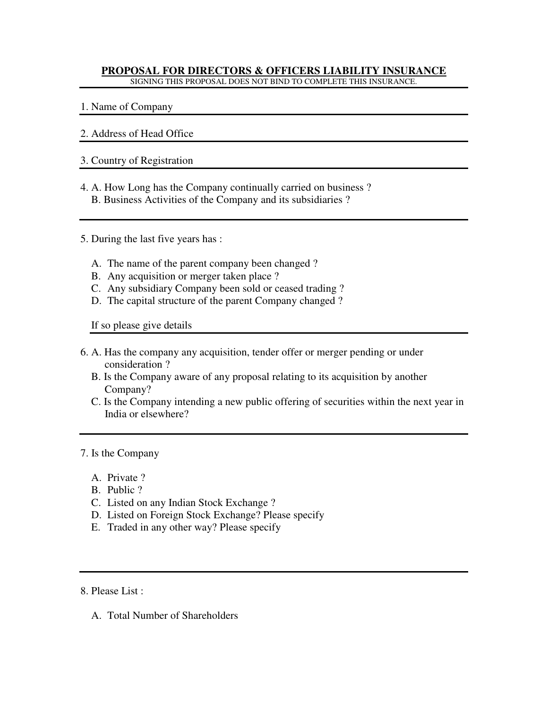#### **PROPOSAL FOR DIRECTORS & OFFICERS LIABILITY INSURANCE** SIGNING THIS PROPOSAL DOES NOT BIND TO COMPLETE THIS INSURANCE.

1. Name of Company

# 2. Address of Head Office

## 3. Country of Registration

- 4. A. How Long has the Company continually carried on business ? B. Business Activities of the Company and its subsidiaries ?
- 5. During the last five years has :
	- A. The name of the parent company been changed ?
	- B. Any acquisition or merger taken place ?
	- C. Any subsidiary Company been sold or ceased trading ?
	- D. The capital structure of the parent Company changed ?

If so please give details

- 6. A. Has the company any acquisition, tender offer or merger pending or under consideration ?
	- B. Is the Company aware of any proposal relating to its acquisition by another Company?
	- C. Is the Company intending a new public offering of securities within the next year in India or elsewhere?

## 7. Is the Company

- A. Private ?
- B. Public ?
- C. Listed on any Indian Stock Exchange ?
- D. Listed on Foreign Stock Exchange? Please specify
- E. Traded in any other way? Please specify

8. Please List :

A. Total Number of Shareholders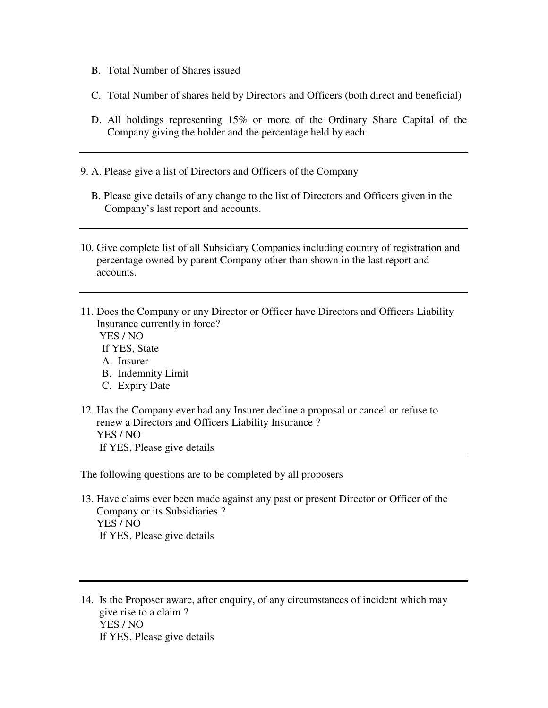- B. Total Number of Shares issued
- C. Total Number of shares held by Directors and Officers (both direct and beneficial)
- D. All holdings representing 15% or more of the Ordinary Share Capital of the Company giving the holder and the percentage held by each.
- 9. A. Please give a list of Directors and Officers of the Company
	- B. Please give details of any change to the list of Directors and Officers given in the Company's last report and accounts.
- 10. Give complete list of all Subsidiary Companies including country of registration and percentage owned by parent Company other than shown in the last report and accounts.
- 11. Does the Company or any Director or Officer have Directors and Officers Liability Insurance currently in force?
	- YES / NO If YES, State A. Insurer B. Indemnity Limit
	- C. Expiry Date
- 12. Has the Company ever had any Insurer decline a proposal or cancel or refuse to renew a Directors and Officers Liability Insurance ? YES / NO If YES, Please give details

The following questions are to be completed by all proposers

- 13. Have claims ever been made against any past or present Director or Officer of the Company or its Subsidiaries ? YES / NO If YES, Please give details
- 14. Is the Proposer aware, after enquiry, of any circumstances of incident which may give rise to a claim ? YES / NO If YES, Please give details